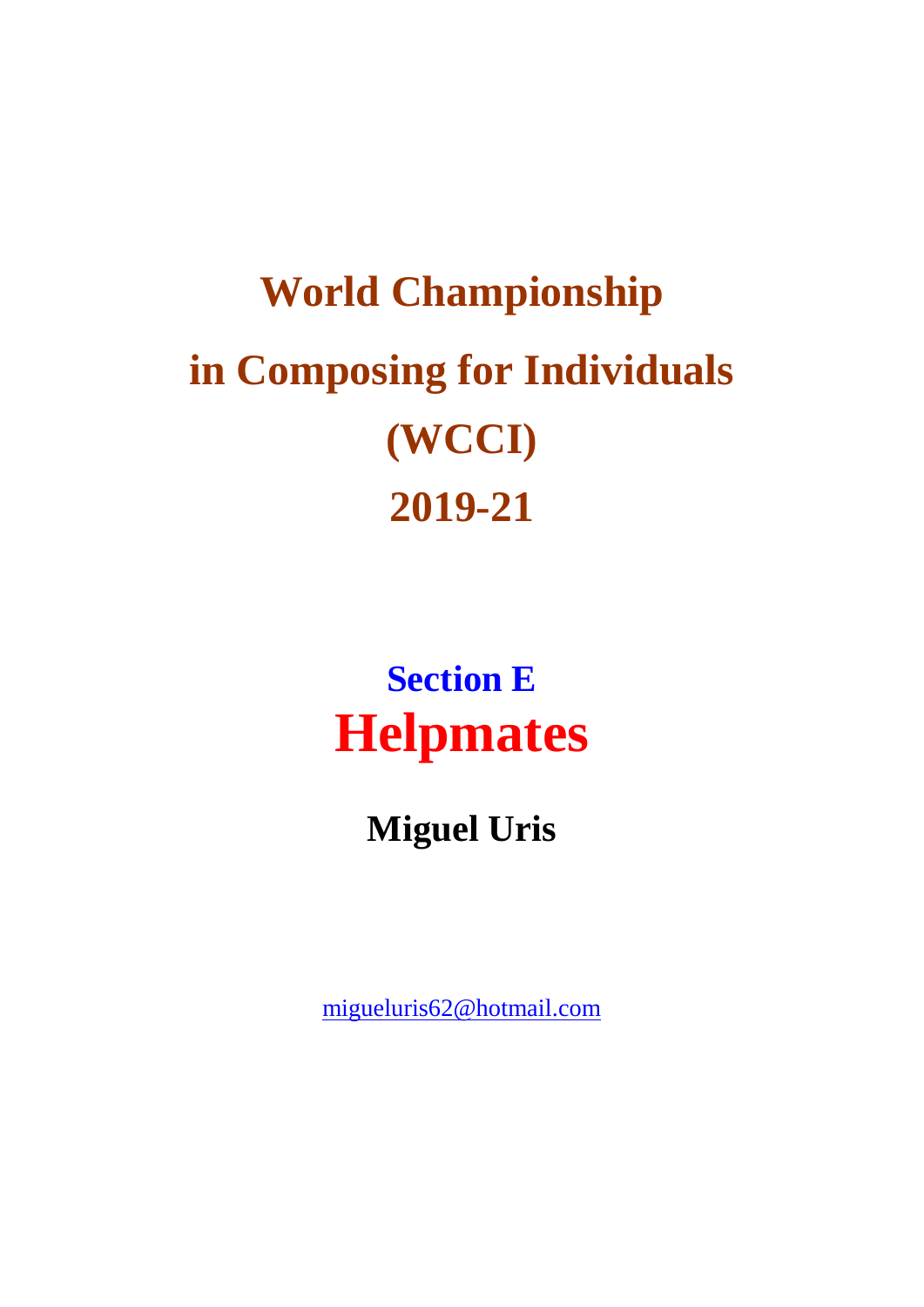# **World Championship in Composing for Individuals (WCCI) 2019-21**

**Section E Helpmates**

**Miguel Uris**

[migueluris62@hotmail.com](mailto:migueluris62@hotmail.com)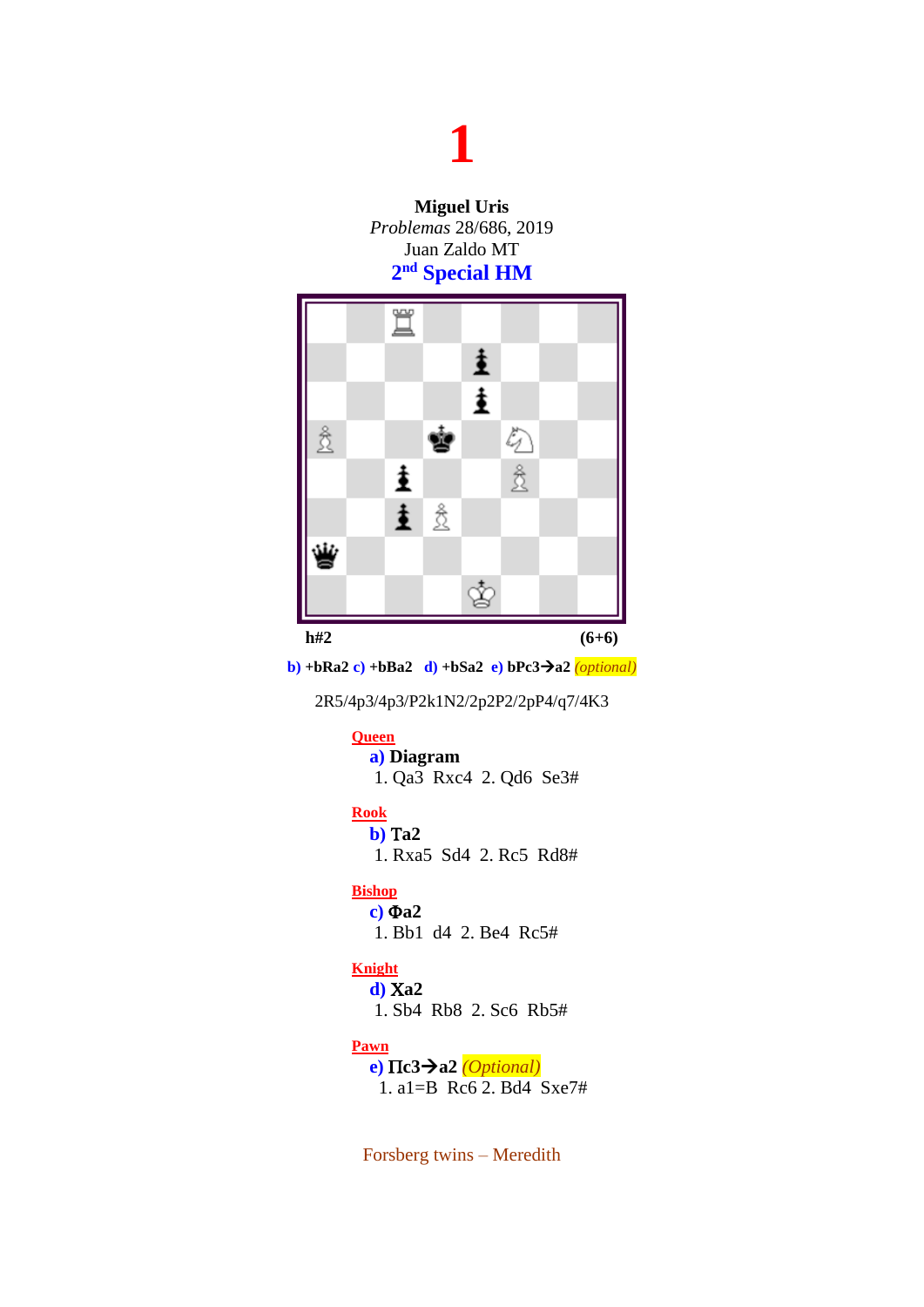**Miguel Uris** *Problemas* 28/686, 2019 Juan Zaldo MT **2 nd Special HM**



**b) +bRa2c) +bBa2 d) +bSa2 e) bPc3a2** *(optional)*

2R5/4p3/4p3/P2k1N2/2p2P2/2pP4/q7/4K3

#### **Queen**

**a) Diagram** 1. Qa3 Rxc4 2. Qd6 Se3#

#### **Rook**

**b) a2** 1. Rxa5 Sd4 2. Rc5 Rd8#

#### **Bishop**

**c) a2**  1. Bb1 d4 2. Be4 Rc5#

#### **Knight**

**d) a2** 1. Sb4 Rb8 2. Sc6 Rb5#

#### **Pawn**

**e) c3a2** *(Optional)* 1. a1=B Rc6 2. Bd4 Sxe7#

Forsberg twins – Meredith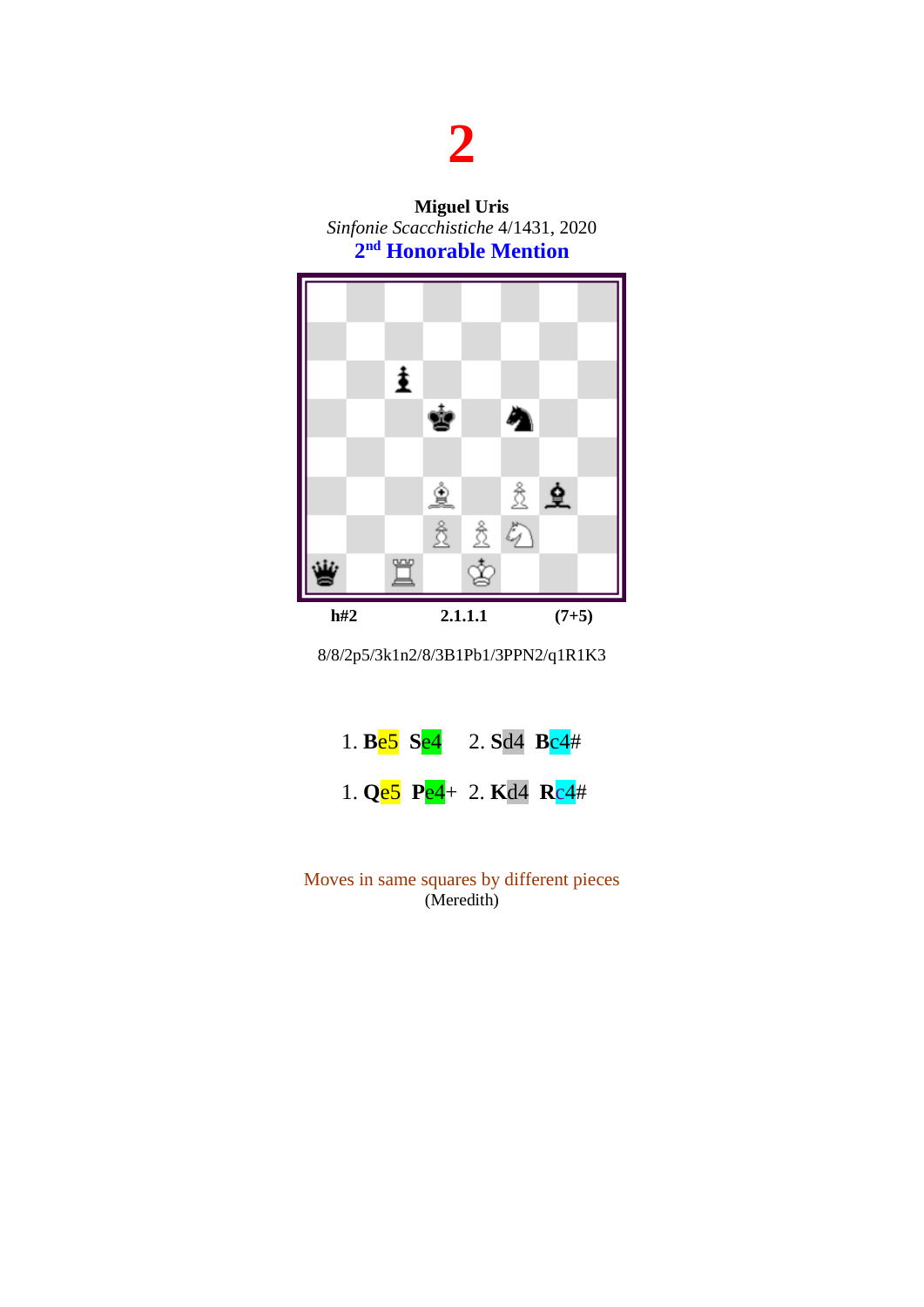**Miguel Uris** *Sinfonie Scacchistiche* 4/1431, 2020 **2 nd Honorable Mention**



8/8/2p5/3k1n2/8/3B1Pb1/3PPN2/q1R1K3

|  | 1. Be5 Se4 2. Sd4 Bc4#    |  |  |
|--|---------------------------|--|--|
|  | 1. $Qe5$ Pe4+ 2. Kd4 Rc4# |  |  |

Moves in same squares by different pieces (Meredith)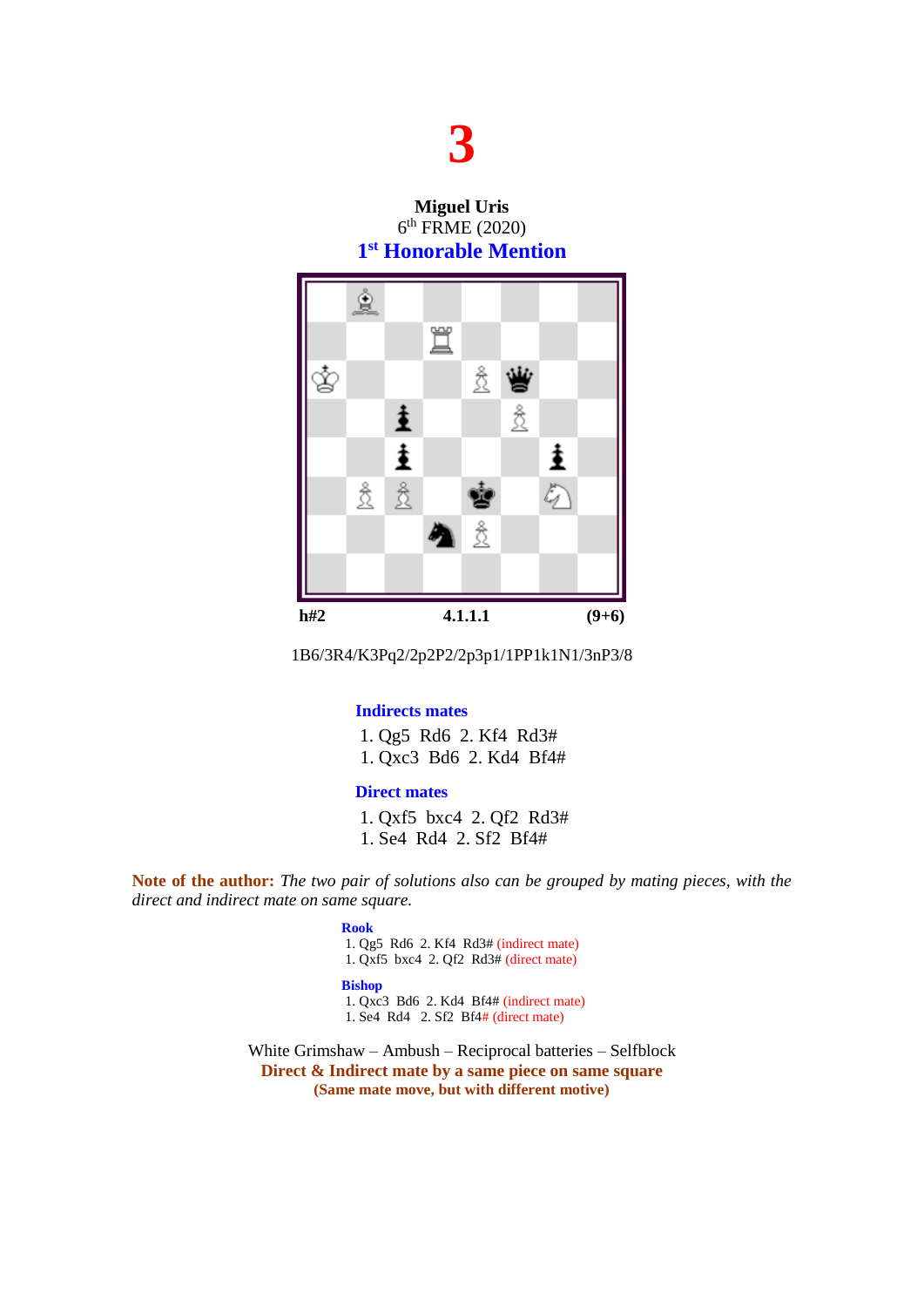**Miguel Uris** 6 th FRME (2020) **1 st Honorable Mention**



1B6/3R4/K3Pq2/2p2P2/2p3p1/1PP1k1N1/3nP3/8

#### **Indirects mates**

1. Qg5 Rd6 2. Kf4 Rd3# 1. Qxc3 Bd6 2. Kd4 Bf4#

#### **Direct mates**

1. Qxf5 bxc4 2. Qf2 Rd3# 1. Se4 Rd4 2. Sf2 Bf4#

**Note of the author:** *The two pair of solutions also can be grouped by mating pieces, with the direct and indirect mate on same square.*

#### **Rook**

1. Qg5 Rd6 2. Kf4 Rd3# (indirect mate)

1. Qxf5 bxc4 2. Qf2 Rd3# (direct mate)

#### **Bishop**

1. Qxc3 Bd6 2. Kd4 Bf4# (indirect mate)

1. Se4 Rd4 2. Sf2 Bf4# (direct mate)

White Grimshaw – Ambush – Reciprocal batteries – Selfblock **Direct & Indirect mate by a same piece on same square (Same mate move, but with different motive)**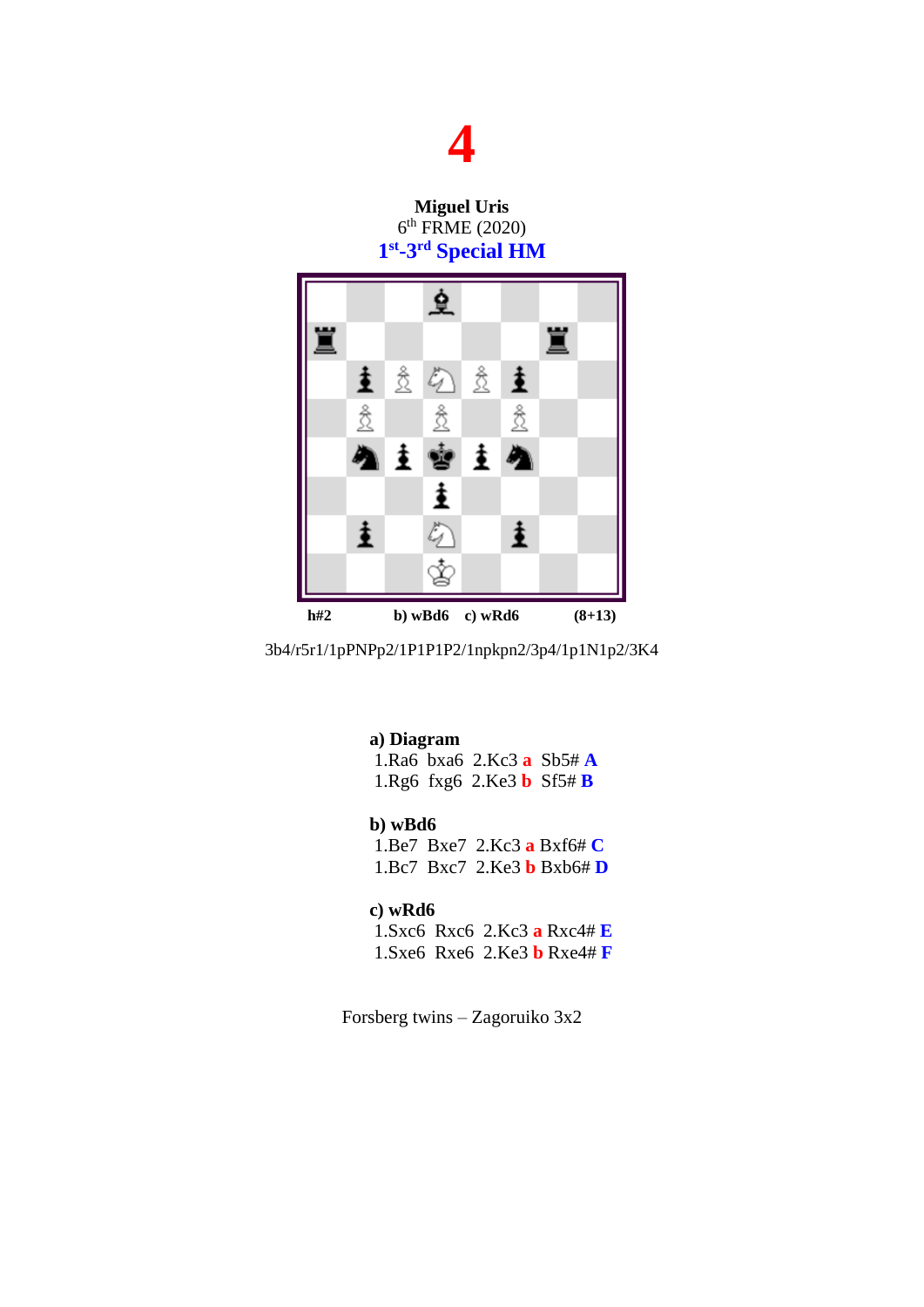**Miguel Uris** 6 th FRME (2020) **1 st -3 rd Special HM**



3b4/r5r1/1pPNPp2/1P1P1P2/1npkpn2/3p4/1p1N1p2/3K4

#### **a) Diagram**

1.Ra6 bxa6 2.Kc3 **a** Sb5# **A** 1.Rg6 fxg6 2.Ke3 **b** Sf5# **B**

#### **b) wBd6**

1.Be7 Bxe7 2.Kc3 **a** Bxf6# **C** 1.Bc7 Bxc7 2.Ke3 **b** Bxb6# **D**

#### **c) wRd6**

1.Sxc6 Rxc6 2.Kc3 **a** Rxc4# **E** 1.Sxe6 Rxe6 2.Ke3 **b** Rxe4# **F**

Forsberg twins – Zagoruiko 3x2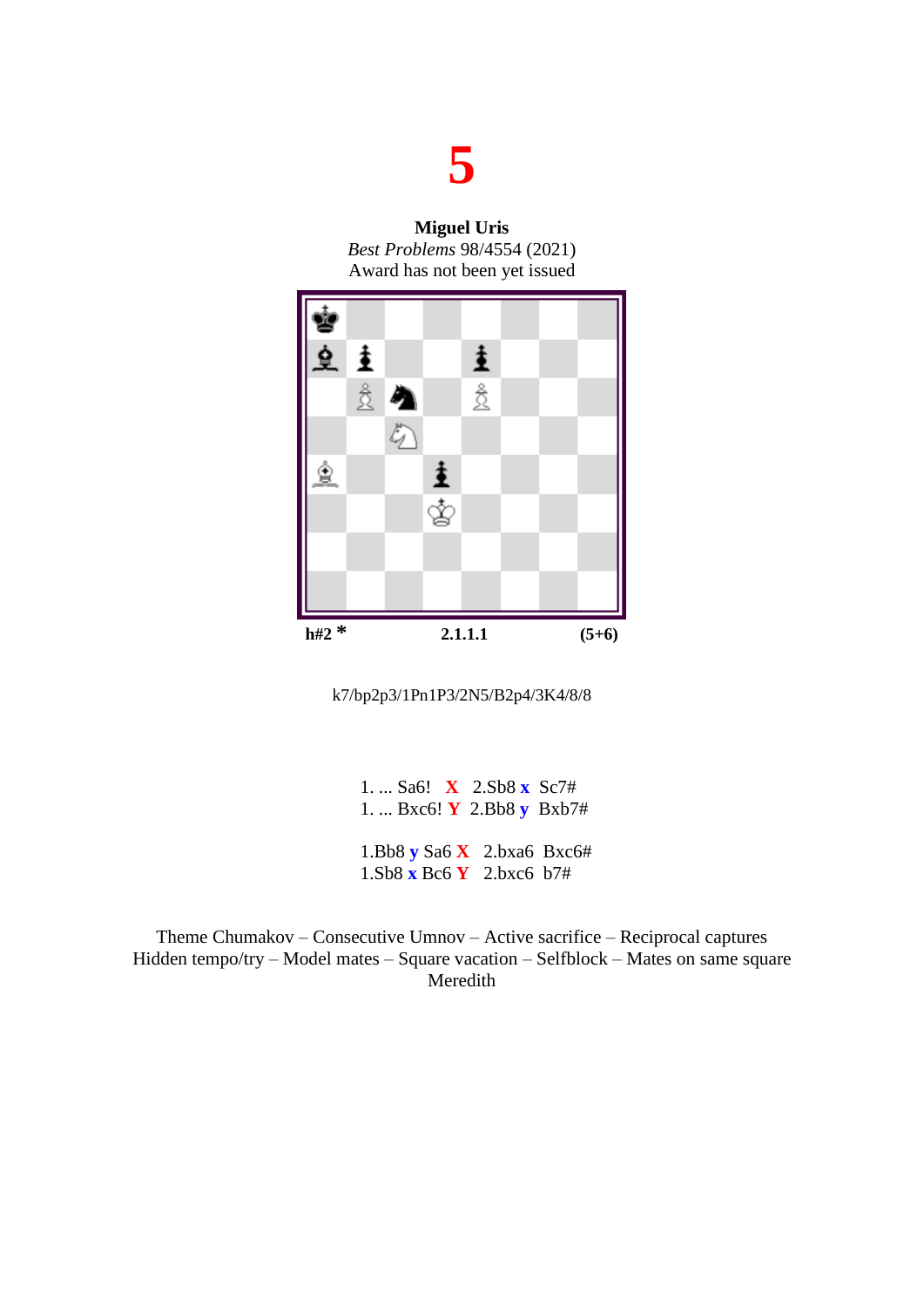**Miguel Uris** *Best Problems* 98/4554 (2021) Award has not been yet issued



k7/bp2p3/1Pn1P3/2N5/B2p4/3K4/8/8

1. ... Sa6! **X** 2.Sb8 **x** Sc7# 1. ... Bxc6! **Y** 2.Bb8 **y** Bxb7# 1.Bb8 **y** Sa6 **X** 2.bxa6 Bxc6# 1.Sb8 **x** Bc6 **Y** 2.bxc6 b7#

Theme Chumakov – Consecutive Umnov – Active sacrifice – Reciprocal captures Hidden tempo/try – Model mates – Square vacation – Selfblock – Mates on same square Meredith